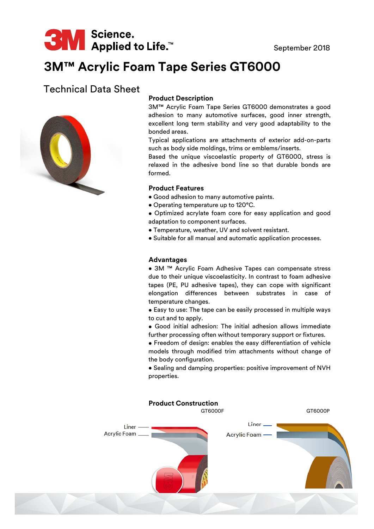

# **3M™ Acrylic Foam Tape Series GT6000**

# Technical Data Sheet



## **Product Description**

3M™ Acrylic Foam Tape Series GT6000 demonstrates a good adhesion to many automotive surfaces, good inner strength, excellent long term stability and very good adaptability to the bonded areas.

Typical applications are attachments of exterior add-on-parts such as body side moldings, trims or emblems/inserts.

Based the unique viscoelastic property of GT6000, stress is relaxed in the adhesive bond line so that durable bonds are formed.

#### **Product Features**

- Good adhesion to many automotive paints.
- Operating temperature up to 120°C.
- Optimized acrylate foam core for easy application and good adaptation to component surfaces.
- Temperature, weather, UV and solvent resistant.
- Suitable for all manual and automatic application processes.

#### **Advantages**

• 3M ™ Acrylic Foam Adhesive Tapes can compensate stress due to their unique viscoelasticity. In contrast to foam adhesive tapes (PE, PU adhesive tapes), they can cope with significant elongation differences between substrates in case of temperature changes.

• Easy to use: The tape can be easily processed in multiple ways to cut and to apply.

• Good initial adhesion: The initial adhesion allows immediate further processing often without temporary support or fixtures.

• Freedom of design: enables the easy differentiation of vehicle models through modified trim attachments without change of the body configuration.

• Sealing and damping properties: positive improvement of NVH properties.